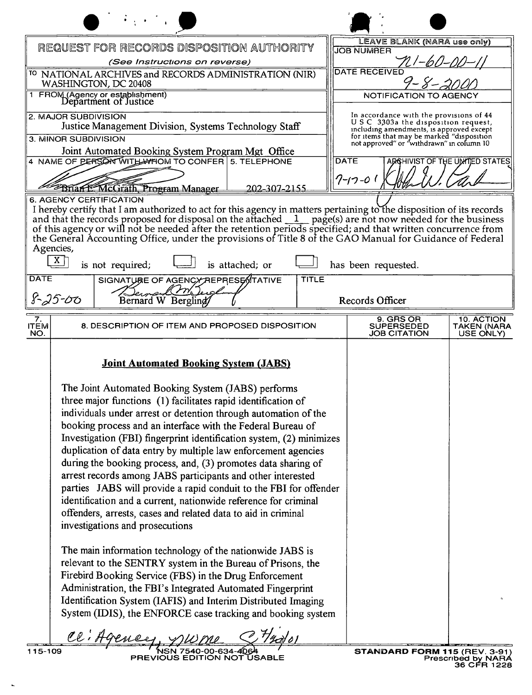|                                                                                                                                                                                                                                                                                                                                                                                                                                                                                                                                                                                                                                                                                                                                                                             | NWML                                                                                                                                                                   |
|-----------------------------------------------------------------------------------------------------------------------------------------------------------------------------------------------------------------------------------------------------------------------------------------------------------------------------------------------------------------------------------------------------------------------------------------------------------------------------------------------------------------------------------------------------------------------------------------------------------------------------------------------------------------------------------------------------------------------------------------------------------------------------|------------------------------------------------------------------------------------------------------------------------------------------------------------------------|
| REQUEST FOR RECORDS DISPOSITION AUTHORITY                                                                                                                                                                                                                                                                                                                                                                                                                                                                                                                                                                                                                                                                                                                                   | LEAVE BLANK (NARA use only)<br><b>JOB NUMBER</b>                                                                                                                       |
| (See Instructions on reverse)                                                                                                                                                                                                                                                                                                                                                                                                                                                                                                                                                                                                                                                                                                                                               | <b>DATE RECEIVED</b>                                                                                                                                                   |
| <sup>TO</sup> NATIONAL ARCHIVES and RECORDS ADMINISTRATION (NIR)<br>WASHINGTON, DC 20408                                                                                                                                                                                                                                                                                                                                                                                                                                                                                                                                                                                                                                                                                    | I – S –                                                                                                                                                                |
| 1 FROM (Agency or establishment)<br>Department of Justice                                                                                                                                                                                                                                                                                                                                                                                                                                                                                                                                                                                                                                                                                                                   | NOTIFICATION TO AGENCY                                                                                                                                                 |
| 2. MAJOR SUBDIVISION<br>Justice Management Division, Systems Technology Staff                                                                                                                                                                                                                                                                                                                                                                                                                                                                                                                                                                                                                                                                                               | In accordance with the provisions of 44<br>USC 3303a the disposition request,<br>including amendments, is approved except<br>for items that may be marked "disposition |
| 3. MINOR SUBDIVISION<br>Joint Automated Booking System Program Mgt Office                                                                                                                                                                                                                                                                                                                                                                                                                                                                                                                                                                                                                                                                                                   | not approved" or "withdrawn" in column 10                                                                                                                              |
| 4 NAME OF PERSON WITH WHOM TO CONFER 5. TELEPHONE                                                                                                                                                                                                                                                                                                                                                                                                                                                                                                                                                                                                                                                                                                                           | <b>DATE</b><br>ADOCHIVIST OF THE UNITED STATES                                                                                                                         |
| Brian F. McGrath, Program Manager<br>202-307-2155                                                                                                                                                                                                                                                                                                                                                                                                                                                                                                                                                                                                                                                                                                                           | 7-17-01                                                                                                                                                                |
| and that the records proposed for disposal on the attached $\_1$ page(s) are not now needed for the business<br>of this agency or will not be needed after the retention periods specified; and that written concurrence from<br>the General Accounting Office, under the provisions of Title 8 of the GAO Manual for Guidance of Federal<br>Agencies,<br>X  <br>is not required;<br>is attached; or<br><b>DATE</b><br>SIGNATURE OF AGENCY REPRESENTATIVE<br><b>TITLE</b><br>r vn<br>$8 - 25 - 00$                                                                                                                                                                                                                                                                          | has been requested.                                                                                                                                                    |
| Bernard W Berglind                                                                                                                                                                                                                                                                                                                                                                                                                                                                                                                                                                                                                                                                                                                                                          | Records Officer                                                                                                                                                        |
| $\overline{7}$ .<br><b>ITEM</b><br>8. DESCRIPTION OF ITEM AND PROPOSED DISPOSITION<br>NO.                                                                                                                                                                                                                                                                                                                                                                                                                                                                                                                                                                                                                                                                                   | 9. GRS OR<br><b>10. ACTION</b><br><b>SUPERSEDED</b><br>TAKEN (NARA<br>JOB CITATION<br>USE ONLY)                                                                        |
| <b>Joint Automated Booking System (JABS)</b>                                                                                                                                                                                                                                                                                                                                                                                                                                                                                                                                                                                                                                                                                                                                |                                                                                                                                                                        |
| The Joint Automated Booking System (JABS) performs<br>three major functions (1) facilitates rapid identification of<br>individuals under arrest or detention through automation of the<br>booking process and an interface with the Federal Bureau of<br>Investigation (FBI) fingerprint identification system, (2) minimizes<br>duplication of data entry by multiple law enforcement agencies<br>during the booking process, and, (3) promotes data sharing of<br>arrest records among JABS participants and other interested<br>parties JABS will provide a rapid conduit to the FBI for offender<br>identification and a current, nationwide reference for criminal<br>offenders, arrests, cases and related data to aid in criminal<br>investigations and prosecutions |                                                                                                                                                                        |
| The main information technology of the nationwide JABS is<br>relevant to the SENTRY system in the Bureau of Prisons, the<br>Firebird Booking Service (FBS) in the Drug Enforcement<br>Administration, the FBI's Integrated Automated Fingerprint<br>Identification System (IAFIS) and Interim Distributed Imaging<br>System (IDIS), the ENFORCE case tracking and booking system                                                                                                                                                                                                                                                                                                                                                                                            |                                                                                                                                                                        |
| CE i H                                                                                                                                                                                                                                                                                                                                                                                                                                                                                                                                                                                                                                                                                                                                                                      |                                                                                                                                                                        |

 $\mathbf{r}$ 

Prescribed by NARA<br>36 CFR 1228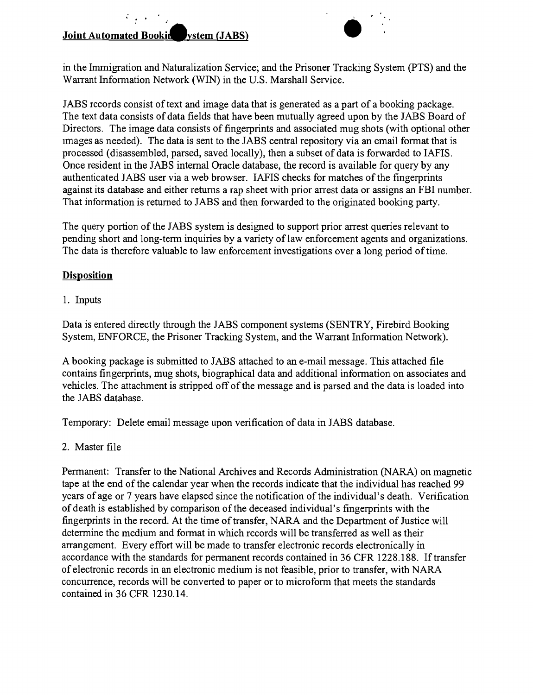## **Joint Automated Bookin**<br> **Joint Automated Bookin**<br> **Automated Bookin**<br> **Automated Bookin**<br> **Automated Bookin**

 $\mathcal{L}_{\mathcal{A}}(\mathcal{A})$ 



in the Immigration and Naturalization Service; and the Prisoner Tracking System (PTS) and the Warrant Information Network (WIN) in the U.S. Marshall Service.

JABS records consist of text and image data that is generated as a part of a booking package. The text data consists of data fields that have been mutually agreed upon by the JABS Board of Directors. The image data consists of fingerprints and associated mug shots (with optional other Images as needed). The data is sent to the JABS central repository via an email format that is processed (disassembled, parsed, saved locally), then a subset of data is forwarded to IAFIS. Once resident in the JABS internal Oracle database, the record is available for query by any authenticated JABS user via a web browser. lAPIS checks for matches of the fingerprints against its database and either returns a rap sheet with prior arrest data or assigns an FBI number. That information is returned to JABS and then forwarded to the originated booking party.

The query portion of the JABS system is designed to support prior arrest queries relevant to pending short and long-term inquiries by a variety of law enforcement agents and organizations. The data is therefore valuable to law enforcement investigations over a long period of time.

## **Disposition**

1. Inputs

Data is entered directly through the JABS component systems (SENTRY, Firebird Booking System, ENFORCE, the Prisoner Tracking System, and the Warrant Information Network).

A booking package is submitted to JABS attached to an e-mail message. This attached file contains fingerprints, mug shots, biographical data and additional information on associates and vehicles. The attachment is stripped off of the message and is parsed and the data is loaded into the JABS database.

Temporary: Delete email message upon verification of data in JABS database.

2. Master file

Permanent: Transfer to the National Archives and Records Administration (NARA) on magnetic tape at the end of the calendar year when the records indicate that the individual has reached 99 years of age or 7 years have elapsed since the notification of the individual's death. Verification of death is established by comparison of the deceased individual's fingerprints with the fingerprints in the record. At the time of transfer, NARA and the Department of Justice will determine the medium and format in which records will be transferred as well as their arrangement. Every effort will be made to transfer electronic records electronically in accordance with the standards for permanent records contained in 36 CFR 1228.188. If transfer of electronic records in an electronic medium is not feasible, prior to transfer, with NARA concurrence, records will be converted to paper or to microform that meets the standards contained in 36 CFR 1230.14.